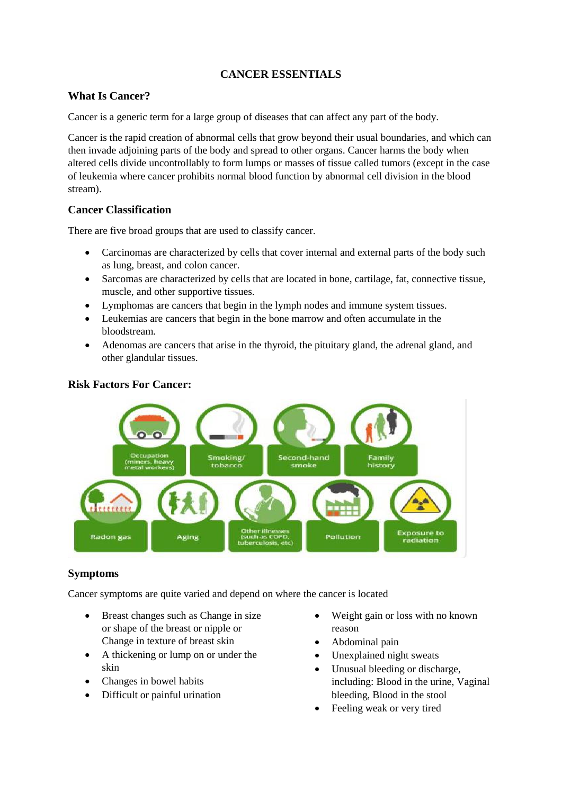# **CANCER ESSENTIALS**

## **What Is Cancer?**

Cancer is a generic term for a large group of diseases that can affect any part of the body.

Cancer is the rapid creation of abnormal cells that grow beyond their usual boundaries, and which can then invade adjoining parts of the body and spread to other organs. Cancer harms the body when altered cells divide uncontrollably to form lumps or masses of tissue called tumors (except in the case of leukemia where cancer prohibits normal blood function by abnormal cell division in the blood stream).

# **Cancer Classification**

There are five broad groups that are used to classify cancer.

- Carcinomas are characterized by cells that cover internal and external parts of the body such as lung, breast, and colon cancer.
- Sarcomas are characterized by cells that are located in bone, cartilage, fat, connective tissue, muscle, and other supportive tissues.
- Lymphomas are cancers that begin in the lymph nodes and immune system tissues.
- Leukemias are cancers that begin in the bone marrow and often accumulate in the bloodstream.
- Adenomas are cancers that arise in the thyroid, the pituitary gland, the adrenal gland, and other glandular tissues.

### **Risk Factors For Cancer:**



# **Symptoms**

Cancer symptoms are quite varied and depend on where the cancer is located

- Breast changes such as Change in size or shape of the breast or nipple or Change in texture of breast skin
- A thickening or lump on or under the skin
- Changes in bowel habits
- Difficult or painful urination
- Weight gain or loss with no known reason
- Abdominal pain
- Unexplained night sweats
- Unusual bleeding or discharge, including: Blood in the urine, Vaginal bleeding, Blood in the stool
- Feeling weak or very tired